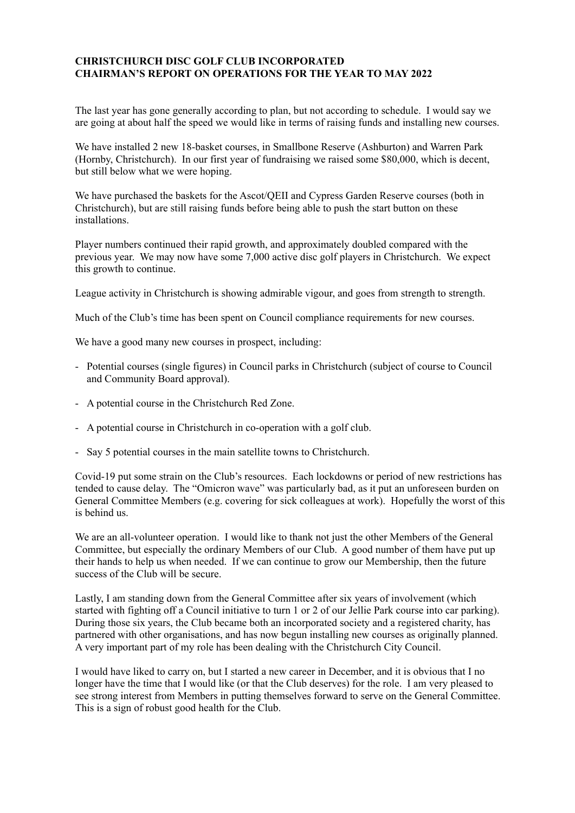## **CHRISTCHURCH DISC GOLF CLUB INCORPORATED CHAIRMAN'S REPORT ON OPERATIONS FOR THE YEAR TO MAY 2022**

The last year has gone generally according to plan, but not according to schedule. I would say we are going at about half the speed we would like in terms of raising funds and installing new courses.

We have installed 2 new 18-basket courses, in Smallbone Reserve (Ashburton) and Warren Park (Hornby, Christchurch). In our first year of fundraising we raised some \$80,000, which is decent, but still below what we were hoping.

We have purchased the baskets for the Ascot/QEII and Cypress Garden Reserve courses (both in Christchurch), but are still raising funds before being able to push the start button on these installations.

Player numbers continued their rapid growth, and approximately doubled compared with the previous year. We may now have some 7,000 active disc golf players in Christchurch. We expect this growth to continue.

League activity in Christchurch is showing admirable vigour, and goes from strength to strength.

Much of the Club's time has been spent on Council compliance requirements for new courses.

We have a good many new courses in prospect, including:

- Potential courses (single figures) in Council parks in Christchurch (subject of course to Council and Community Board approval).
- A potential course in the Christchurch Red Zone.
- A potential course in Christchurch in co-operation with a golf club.
- Say 5 potential courses in the main satellite towns to Christchurch.

Covid-19 put some strain on the Club's resources. Each lockdowns or period of new restrictions has tended to cause delay. The "Omicron wave" was particularly bad, as it put an unforeseen burden on General Committee Members (e.g. covering for sick colleagues at work). Hopefully the worst of this is behind us.

We are an all-volunteer operation. I would like to thank not just the other Members of the General Committee, but especially the ordinary Members of our Club. A good number of them have put up their hands to help us when needed. If we can continue to grow our Membership, then the future success of the Club will be secure.

Lastly, I am standing down from the General Committee after six years of involvement (which started with fighting off a Council initiative to turn 1 or 2 of our Jellie Park course into car parking). During those six years, the Club became both an incorporated society and a registered charity, has partnered with other organisations, and has now begun installing new courses as originally planned. A very important part of my role has been dealing with the Christchurch City Council.

I would have liked to carry on, but I started a new career in December, and it is obvious that I no longer have the time that I would like (or that the Club deserves) for the role. I am very pleased to see strong interest from Members in putting themselves forward to serve on the General Committee. This is a sign of robust good health for the Club.